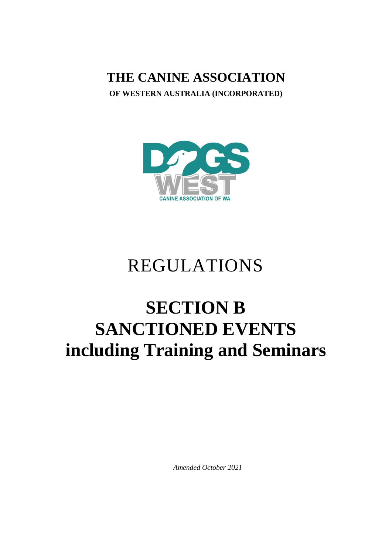**THE CANINE ASSOCIATION**

**OF WESTERN AUSTRALIA (INCORPORATED)**



# REGULATIONS

# **SECTION B SANCTIONED EVENTS including Training and Seminars**

*Amended October 2021*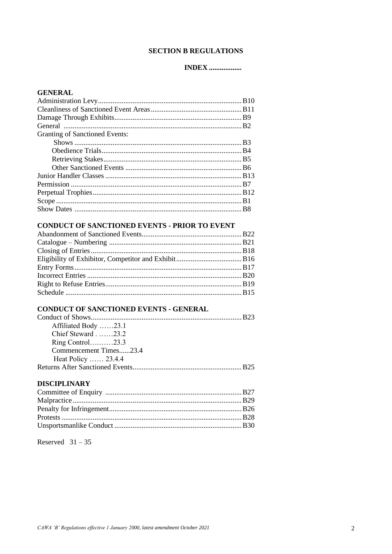# **SECTION B REGULATIONS**

# **INDEX** .................

| <b>GENERAL</b>                 |  |
|--------------------------------|--|
|                                |  |
|                                |  |
|                                |  |
|                                |  |
| Granting of Sanctioned Events: |  |
|                                |  |
|                                |  |
|                                |  |
|                                |  |
|                                |  |
|                                |  |
|                                |  |
|                                |  |
|                                |  |
|                                |  |

# **CONDUCT OF SANCTIONED EVENTS - PRIOR TO EVENT**

# CONDUCT OF SANCTIONED EVENTS - GENERAL

| Affiliated Body 23.1   |  |
|------------------------|--|
| Chief Steward $.23.2$  |  |
| Ring Control23.3       |  |
| Commencement Times23.4 |  |
| Heat Policy  23.4.4    |  |
|                        |  |

# **DISCIPLINARY**

Reserved  $31-35$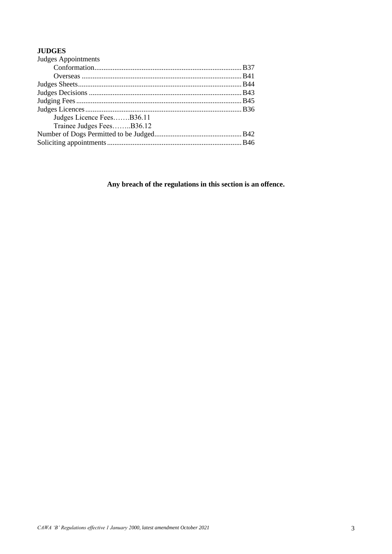# **JUDGES**

| Judges Appointments       |  |
|---------------------------|--|
|                           |  |
|                           |  |
|                           |  |
|                           |  |
|                           |  |
|                           |  |
| Judges Licence FeesB36.11 |  |
| Trainee Judges FeesB36.12 |  |
|                           |  |
|                           |  |
|                           |  |

**Any breach of the regulations in this section is an offence.**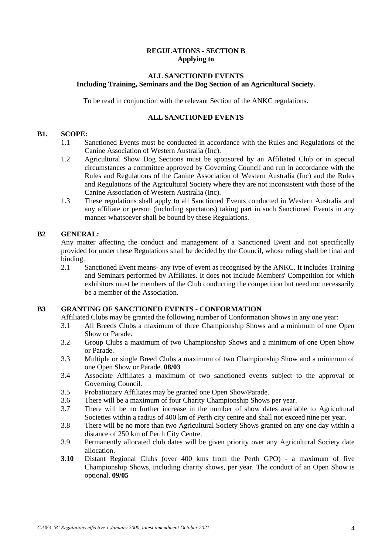# **REGULATIONS - SECTION B Applying to**

# **ALL SANCTIONED EVENTS Including Training, Seminars and the Dog Section of an Agricultural Society.**

To be read in conjunction with the relevant Section of the ANKC regulations.

# **ALL SANCTIONED EVENTS**

# **B1. SCOPE:**

- 1.1 Sanctioned Events must be conducted in accordance with the Rules and Regulations of the Canine Association of Western Australia (Inc).
- 1.2 Agricultural Show Dog Sections must be sponsored by an Affiliated Club or in special circumstances a committee approved by Governing Council and run in accordance with the Rules and Regulations of the Canine Association of Western Australia (Inc) and the Rules and Regulations of the Agricultural Society where they are not inconsistent with those of the Canine Association of Western Australia (Inc).
- 1.3 These regulations shall apply to all Sanctioned Events conducted in Western Australia and any affiliate or person (including spectators) taking part in such Sanctioned Events in any manner whatsoever shall be bound by these Regulations.

# **B2 GENERAL:**

Any matter affecting the conduct and management of a Sanctioned Event and not specifically provided for under these Regulations shall be decided by the Council, whose ruling shall be final and binding.

2.1 Sanctioned Event means- any type of event as recognised by the ANKC. It includes Training and Seminars performed by Affiliates. It does not include Members' Competition for which exhibitors must be members of the Club conducting the competition but need not necessarily be a member of the Association.

# **B3 GRANTING OF SANCTIONED EVENTS - CONFORMATION**

Affiliated Clubs may be granted the following number of Conformation Shows in any one year:

- 3.1 All Breeds Clubs a maximum of three Championship Shows and a minimum of one Open Show or Parade.
- 3.2 Group Clubs a maximum of two Championship Shows and a minimum of one Open Show or Parade.
- 3.3 Multiple or single Breed Clubs a maximum of two Championship Show and a minimum of one Open Show or Parade. **08/03**
- 3.4 Associate Affiliates a maximum of two sanctioned events subject to the approval of Governing Council.
- 3.5 Probationary Affiliates may be granted one Open Show/Parade.
- 3.6 There will be a maximum of four Charity Championship Shows per year.
- 3.7 There will be no further increase in the number of show dates available to Agricultural Societies within a radius of 400 km of Perth city centre and shall not exceed nine per year.
- 3.8 There will be no more than two Agricultural Society Shows granted on any one day within a distance of 250 km of Perth City Centre.
- 3.9 Permanently allocated club dates will be given priority over any Agricultural Society date allocation.
- **3.10** Distant Regional Clubs (over 400 kms from the Perth GPO) a maximum of five Championship Shows, including charity shows, per year. The conduct of an Open Show is optional. **09/05**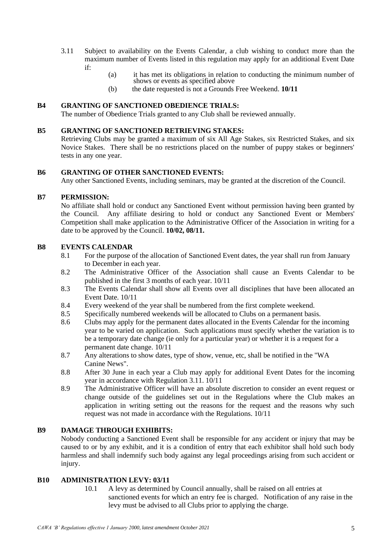- 3.11 Subject to availability on the Events Calendar, a club wishing to conduct more than the maximum number of Events listed in this regulation may apply for an additional Event Date if:
	- (a) it has met its obligations in relation to conducting the minimum number of shows or events as specified above
	- (b) the date requested is not a Grounds Free Weekend. **10/11**

# **B4 GRANTING OF SANCTIONED OBEDIENCE TRIALS:**

The number of Obedience Trials granted to any Club shall be reviewed annually.

## **B5 GRANTING OF SANCTIONED RETRIEVING STAKES:**

Retrieving Clubs may be granted a maximum of six All Age Stakes, six Restricted Stakes, and six Novice Stakes. There shall be no restrictions placed on the number of puppy stakes or beginners' tests in any one year.

# **B6 GRANTING OF OTHER SANCTIONED EVENTS:**

Any other Sanctioned Events, including seminars, may be granted at the discretion of the Council.

# **B7 PERMISSION:**

No affiliate shall hold or conduct any Sanctioned Event without permission having been granted by the Council. Any affiliate desiring to hold or conduct any Sanctioned Event or Members' Competition shall make application to the Administrative Officer of the Association in writing for a date to be approved by the Council. **10/02, 08/11.**

# **B8 EVENTS CALENDAR**

- 8.1 For the purpose of the allocation of Sanctioned Event dates, the year shall run from January to December in each year.
- 8.2 The Administrative Officer of the Association shall cause an Events Calendar to be published in the first 3 months of each year. 10/11
- 8.3 The Events Calendar shall show all Events over all disciplines that have been allocated an Event Date. 10/11
- 8.4 Every weekend of the year shall be numbered from the first complete weekend.
- 8.5 Specifically numbered weekends will be allocated to Clubs on a permanent basis.
- 8.6 Clubs may apply for the permanent dates allocated in the Events Calendar for the incoming year to be varied on application. Such applications must specify whether the variation is to be a temporary date change (ie only for a particular year) or whether it is a request for a permanent date change. 10/11
- 8.7 Any alterations to show dates, type of show, venue, etc, shall be notified in the "WA Canine News".
- 8.8 After 30 June in each year a Club may apply for additional Event Dates for the incoming year in accordance with Regulation 3.11. 10/11
- 8.9 The Administrative Officer will have an absolute discretion to consider an event request or change outside of the guidelines set out in the Regulations where the Club makes an application in writing setting out the reasons for the request and the reasons why such request was not made in accordance with the Regulations. 10/11

## **B9 DAMAGE THROUGH EXHIBITS:**

Nobody conducting a Sanctioned Event shall be responsible for any accident or injury that may be caused to or by any exhibit, and it is a condition of entry that each exhibitor shall hold such body harmless and shall indemnify such body against any legal proceedings arising from such accident or injury.

## **B10 ADMINISTRATION LEVY: 03/11**

10.1 A levy as determined by Council annually, shall be raised on all entries at sanctioned events for which an entry fee is charged. Notification of any raise in the levy must be advised to all Clubs prior to applying the charge.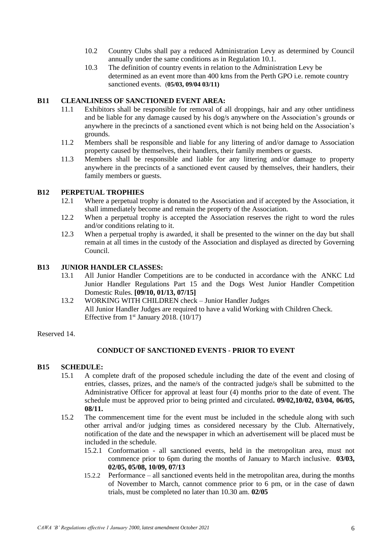- 10.2 Country Clubs shall pay a reduced Administration Levy as determined by Council annually under the same conditions as in Regulation 10.1.
- 10.3 The definition of country events in relation to the Administration Levy be determined as an event more than 400 kms from the Perth GPO i.e. remote country sanctioned events. (**05/03, 09/04 03/11)**

# **B11 CLEANLINESS OF SANCTIONED EVENT AREA:**

- 11.1 Exhibitors shall be responsible for removal of all droppings, hair and any other untidiness and be liable for any damage caused by his dog/s anywhere on the Association's grounds or anywhere in the precincts of a sanctioned event which is not being held on the Association's grounds.
- 11.2 Members shall be responsible and liable for any littering of and/or damage to Association property caused by themselves, their handlers, their family members or guests.
- 11.3 Members shall be responsible and liable for any littering and/or damage to property anywhere in the precincts of a sanctioned event caused by themselves, their handlers, their family members or guests.

# **B12 PERPETUAL TROPHIES**

- 12.1 Where a perpetual trophy is donated to the Association and if accepted by the Association, it shall immediately become and remain the property of the Association.
- 12.2 When a perpetual trophy is accepted the Association reserves the right to word the rules and/or conditions relating to it.
- 12.3 When a perpetual trophy is awarded, it shall be presented to the winner on the day but shall remain at all times in the custody of the Association and displayed as directed by Governing Council.

## **B13 JUNIOR HANDLER CLASSES:**

- 13.1 All Junior Handler Competitions are to be conducted in accordance with the ANKC Ltd Junior Handler Regulations Part 15 and the Dogs West Junior Handler Competition Domestic Rules. **[09/10, 01/13, 07/15]**
- 13.2 WORKING WITH CHILDREN check Junior Handler Judges All Junior Handler Judges are required to have a valid Working with Children Check. Effective from  $1<sup>st</sup>$  January 2018. (10/17)

Reserved 14.

## **CONDUCT OF SANCTIONED EVENTS - PRIOR TO EVENT**

## **B15 SCHEDULE:**

- 15.1 A complete draft of the proposed schedule including the date of the event and closing of entries, classes, prizes, and the name/s of the contracted judge/s shall be submitted to the Administrative Officer for approval at least four (4) months prior to the date of event. The schedule must be approved prior to being printed and circulated**. 09/02,10/02, 03/04, 06/05, 08/11.**
- 15.2 The commencement time for the event must be included in the schedule along with such other arrival and/or judging times as considered necessary by the Club. Alternatively, notification of the date and the newspaper in which an advertisement will be placed must be included in the schedule.
	- 15.2.1 Conformation all sanctioned events, held in the metropolitan area, must not commence prior to 6pm during the months of January to March inclusive. **03/03, 02/05, 05/08, 10/09, 07/13**
	- 15.2.2 Performance all sanctioned events held in the metropolitan area, during the months of November to March, cannot commence prior to 6 pm, or in the case of dawn trials, must be completed no later than 10.30 am. **02/05**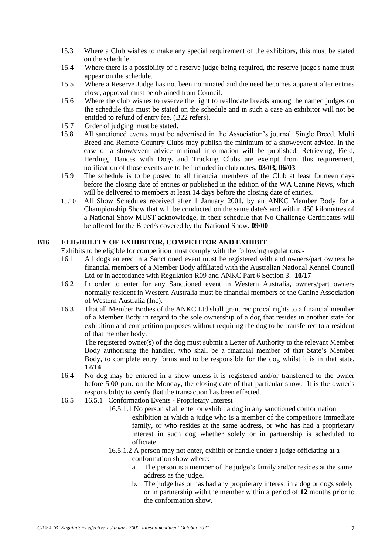- 15.3 Where a Club wishes to make any special requirement of the exhibitors, this must be stated on the schedule.
- 15.4 Where there is a possibility of a reserve judge being required, the reserve judge's name must appear on the schedule.
- 15.5 Where a Reserve Judge has not been nominated and the need becomes apparent after entries close, approval must be obtained from Council.
- 15.6 Where the club wishes to reserve the right to reallocate breeds among the named judges on the schedule this must be stated on the schedule and in such a case an exhibitor will not be entitled to refund of entry fee. (B22 refers).
- 15.7 Order of judging must be stated.
- 15.8 All sanctioned events must be advertised in the Association's journal. Single Breed, Multi Breed and Remote Country Clubs may publish the minimum of a show/event advice. In the case of a show/event advice minimal information will be published. Retrieving, Field, Herding, Dances with Dogs and Tracking Clubs are exempt from this requirement, notification of those events are to be included in club notes. **03/03, 06/03**
- 15.9 The schedule is to be posted to all financial members of the Club at least fourteen days before the closing date of entries or published in the edition of the WA Canine News, which will be delivered to members at least 14 days before the closing date of entries.
- 15.10 All Show Schedules received after 1 January 2001, by an ANKC Member Body for a Championship Show that will be conducted on the same date/s and within 450 kilometres of a National Show MUST acknowledge, in their schedule that No Challenge Certificates will be offered for the Breed/s covered by the National Show. **09/00**

# **B16 ELIGIBILITY OF EXHIBITOR, COMPETITOR AND EXHIBIT**

Exhibits to be eligible for competition must comply with the following regulations:-

- 16.1 All dogs entered in a Sanctioned event must be registered with and owners/part owners be financial members of a Member Body affiliated with the Australian National Kennel Council Ltd or in accordance with Regulation R09 and ANKC Part 6 Section 3. **10/17**
- 16.2 In order to enter for any Sanctioned event in Western Australia, owners/part owners normally resident in Western Australia must be financial members of the Canine Association of Western Australia (Inc).
- 16.3 That all Member Bodies of the ANKC Ltd shall grant reciprocal rights to a financial member of a Member Body in regard to the sole ownership of a dog that resides in another state for exhibition and competition purposes without requiring the dog to be transferred to a resident of that member body.

The registered owner(s) of the dog must submit a Letter of Authority to the relevant Member Body authorising the handler, who shall be a financial member of that State's Member Body, to complete entry forms and to be responsible for the dog whilst it is in that state. **12/14**

- 16.4 No dog may be entered in a show unless it is registered and/or transferred to the owner before 5.00 p.m. on the Monday, the closing date of that particular show. It is the owner's responsibility to verify that the transaction has been effected.
- 16.5 16.5.1 Conformation Events Proprietary Interest
	- 16.5.1.1 No person shall enter or exhibit a dog in any sanctioned conformation exhibition at which a judge who is a member of the competitor's immediate family, or who resides at the same address, or who has had a proprietary interest in such dog whether solely or in partnership is scheduled to officiate.
	- 16.5.1.2 A person may not enter, exhibit or handle under a judge officiating at a conformation show where:
		- a. The person is a member of the judge's family and/or resides at the same address as the judge.
		- b. The judge has or has had any proprietary interest in a dog or dogs solely or in partnership with the member within a period of **12** months prior to the conformation show.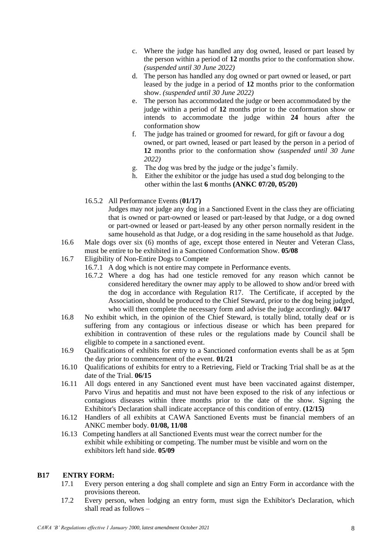- c. Where the judge has handled any dog owned, leased or part leased by the person within a period of **12** months prior to the conformation show. *(suspended until 30 June 2022)*
- d. The person has handled any dog owned or part owned or leased, or part leased by the judge in a period of **12** months prior to the conformation show. *(suspended until 30 June 2022)*
- e. The person has accommodated the judge or been accommodated by the judge within a period of **12** months prior to the conformation show or intends to accommodate the judge within **24** hours after the conformation show
- f. The judge has trained or groomed for reward, for gift or favour a dog owned, or part owned, leased or part leased by the person in a period of **12** months prior to the conformation show *(suspended until 30 June 2022)*
- g. The dog was bred by the judge or the judge's family.
- h. Either the exhibitor or the judge has used a stud dog belonging to the other within the last **6** months **(ANKC 07/20, 05/20)**
- 16.5.2 All Performance Events (**01/17)**

Judges may not judge any dog in a Sanctioned Event in the class they are officiating that is owned or part-owned or leased or part-leased by that Judge, or a dog owned or part-owned or leased or part-leased by any other person normally resident in the same household as that Judge, or a dog residing in the same household as that Judge.

- 16.6 Male dogs over six (6) months of age, except those entered in Neuter and Veteran Class, must be entire to be exhibited in a Sanctioned Conformation Show. **05/08**
- 16.7 Eligibility of Non-Entire Dogs to Compete
	- 16.7.1 A dog which is not entire may compete in Performance events.
	- 16.7.2 Where a dog has had one testicle removed for any reason which cannot be considered hereditary the owner may apply to be allowed to show and/or breed with the dog in accordance with Regulation R17. The Certificate, if accepted by the Association, should be produced to the Chief Steward, prior to the dog being judged, who will then complete the necessary form and advise the judge accordingly. **04/17**
- 16.8 No exhibit which, in the opinion of the Chief Steward, is totally blind, totally deaf or is suffering from any contagious or infectious disease or which has been prepared for exhibition in contravention of these rules or the regulations made by Council shall be eligible to compete in a sanctioned event.
- 16.9 Qualifications of exhibits for entry to a Sanctioned conformation events shall be as at 5pm the day prior to commencement of the event. **01/21**
- 16.10 Qualifications of exhibits for entry to a Retrieving, Field or Tracking Trial shall be as at the date of the Trial. **06/15**
- 16.11 All dogs entered in any Sanctioned event must have been vaccinated against distemper, Parvo Virus and hepatitis and must not have been exposed to the risk of any infectious or contagious diseases within three months prior to the date of the show. Signing the Exhibitor's Declaration shall indicate acceptance of this condition of entry. **(12/15)**
- 16.12 Handlers of all exhibits at CAWA Sanctioned Events must be financial members of an ANKC member body. **01/08, 11/08**
- 16.13Competing handlers at all Sanctioned Events must wear the correct number for the exhibit while exhibiting or competing. The number must be visible and worn on the exhibitors left hand side. **05/09**

## **B17 ENTRY FORM:**

- 17.1 Every person entering a dog shall complete and sign an Entry Form in accordance with the provisions thereon.
- 17.2 Every person, when lodging an entry form, must sign the Exhibitor's Declaration, which shall read as follows –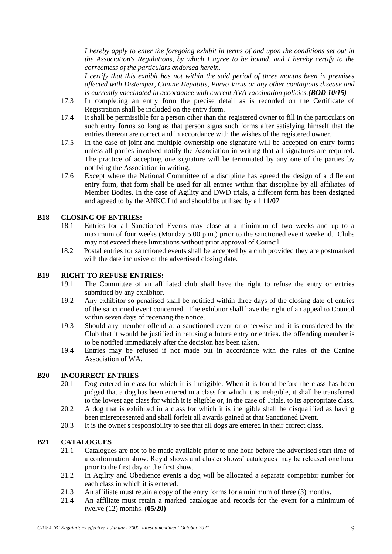*I hereby apply to enter the foregoing exhibit in terms of and upon the conditions set out in the Association's Regulations, by which I agree to be bound, and I hereby certify to the correctness of the particulars endorsed herein.*

*I certify that this exhibit has not within the said period of three months been in premises affected with Distemper, Canine Hepatitis, Parvo Virus or any other contagious disease and is currently vaccinated in accordance with current AVA vaccination policies.(BOD 10/15)*

- 17.3 In completing an entry form the precise detail as is recorded on the Certificate of Registration shall be included on the entry form.
- 17.4 It shall be permissible for a person other than the registered owner to fill in the particulars on such entry forms so long as that person signs such forms after satisfying himself that the entries thereon are correct and in accordance with the wishes of the registered owner.
- 17.5 In the case of joint and multiple ownership one signature will be accepted on entry forms unless all parties involved notify the Association in writing that all signatures are required. The practice of accepting one signature will be terminated by any one of the parties by notifying the Association in writing.
- 17.6 Except where the National Committee of a discipline has agreed the design of a different entry form, that form shall be used for all entries within that discipline by all affiliates of Member Bodies. In the case of Agility and DWD trials, a different form has been designed and agreed to by the ANKC Ltd and should be utilised by all **11/07**

# **B18 CLOSING OF ENTRIES:**

- 18.1 Entries for all Sanctioned Events may close at a minimum of two weeks and up to a maximum of four weeks (Monday 5.00 p.m.) prior to the sanctioned event weekend. Clubs may not exceed these limitations without prior approval of Council.
- 18.2 Postal entries for sanctioned events shall be accepted by a club provided they are postmarked with the date inclusive of the advertised closing date.

#### **B19 RIGHT TO REFUSE ENTRIES:**

- 19.1 The Committee of an affiliated club shall have the right to refuse the entry or entries submitted by any exhibitor.
- 19.2 Any exhibitor so penalised shall be notified within three days of the closing date of entries of the sanctioned event concerned. The exhibitor shall have the right of an appeal to Council within seven days of receiving the notice.
- 19.3 Should any member offend at a sanctioned event or otherwise and it is considered by the Club that it would be justified in refusing a future entry or entries. the offending member is to be notified immediately after the decision has been taken.
- 19.4 Entries may be refused if not made out in accordance with the rules of the Canine Association of WA.

# **B20 INCORRECT ENTRIES**

- 20.1 Dog entered in class for which it is ineligible. When it is found before the class has been judged that a dog has been entered in a class for which it is ineligible, it shall be transferred to the lowest age class for which it is eligible or, in the case of Trials, to its appropriate class.
- 20.2 A dog that is exhibited in a class for which it is ineligible shall be disqualified as having been misrepresented and shall forfeit all awards gained at that Sanctioned Event.
- 20.3 It is the owner's responsibility to see that all dogs are entered in their correct class.

# **B21 CATALOGUES**

- 21.1 Catalogues are not to be made available prior to one hour before the advertised start time of a conformation show. Royal shows and cluster shows' catalogues may be released one hour prior to the first day or the first show.
- 21.2 In Agility and Obedience events a dog will be allocated a separate competitor number for each class in which it is entered.
- 21.3 An affiliate must retain a copy of the entry forms for a minimum of three (3) months.
- 21.4 An affiliate must retain a marked catalogue and records for the event for a minimum of twelve (12) months. **(05/20)**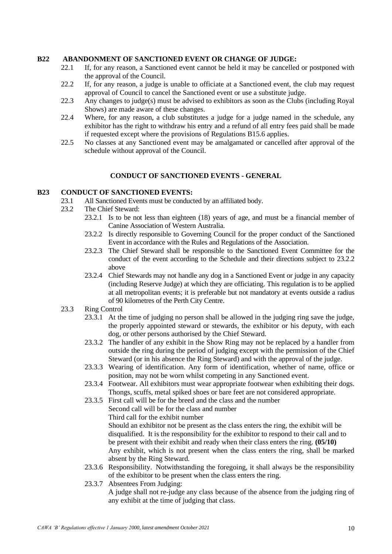## **B22 ABANDONMENT OF SANCTIONED EVENT OR CHANGE OF JUDGE:**

- 22.1 If, for any reason, a Sanctioned event cannot be held it may be cancelled or postponed with the approval of the Council.
- 22.2 If, for any reason, a judge is unable to officiate at a Sanctioned event, the club may request approval of Council to cancel the Sanctioned event or use a substitute judge.
- 22.3 Any changes to judge(s) must be advised to exhibitors as soon as the Clubs (including Royal Shows) are made aware of these changes.
- 22.4 Where, for any reason, a club substitutes a judge for a judge named in the schedule, any exhibitor has the right to withdraw his entry and a refund of all entry fees paid shall be made if requested except where the provisions of Regulations B15.6 applies.
- 22.5 No classes at any Sanctioned event may be amalgamated or cancelled after approval of the schedule without approval of the Council.

# **CONDUCT OF SANCTIONED EVENTS - GENERAL**

# **B23 CONDUCT OF SANCTIONED EVENTS:**

- 23.1 All Sanctioned Events must be conducted by an affiliated body.
- 23.2 The Chief Steward:
	- 23.2.1 Is to be not less than eighteen (18) years of age, and must be a financial member of Canine Association of Western Australia.
	- 23.2.2 Is directly responsible to Governing Council for the proper conduct of the Sanctioned Event in accordance with the Rules and Regulations of the Association.
	- 23.2.3 The Chief Steward shall be responsible to the Sanctioned Event Committee for the conduct of the event according to the Schedule and their directions subject to 23.2.2 above
	- 23.2.4 Chief Stewards may not handle any dog in a Sanctioned Event or judge in any capacity (including Reserve Judge) at which they are officiating. This regulation is to be applied at all metropolitan events; it is preferable but not mandatory at events outside a radius of 90 kilometres of the Perth City Centre.
- 23.3 Ring Control
	- 23.3.1 At the time of judging no person shall be allowed in the judging ring save the judge, the properly appointed steward or stewards, the exhibitor or his deputy, with each dog, or other persons authorised by the Chief Steward.
	- 23.3.2 The handler of any exhibit in the Show Ring may not be replaced by a handler from outside the ring during the period of judging except with the permission of the Chief Steward (or in his absence the Ring Steward) and with the approval of the judge.
	- 23.3.3 Wearing of identification. Any form of identification, whether of name, office or position, may not be worn whilst competing in any Sanctioned event.
	- 23.3.4 Footwear. All exhibitors must wear appropriate footwear when exhibiting their dogs. Thongs, scuffs, metal spiked shoes or bare feet are not considered appropriate.
	- 23.3.5 First call will be for the breed and the class and the number Second call will be for the class and number Third call for the exhibit number Should an exhibitor not be present as the class enters the ring, the exhibit will be disqualified. It is the responsibility for the exhibitor to respond to their call and to be present with their exhibit and ready when their class enters the ring. **(05/10)** Any exhibit, which is not present when the class enters the ring, shall be marked absent by the Ring Steward.
	- 23.3.6 Responsibility. Notwithstanding the foregoing, it shall always be the responsibility of the exhibitor to be present when the class enters the ring.
	- 23.3.7 Absentees From Judging: A judge shall not re-judge any class because of the absence from the judging ring of any exhibit at the time of judging that class.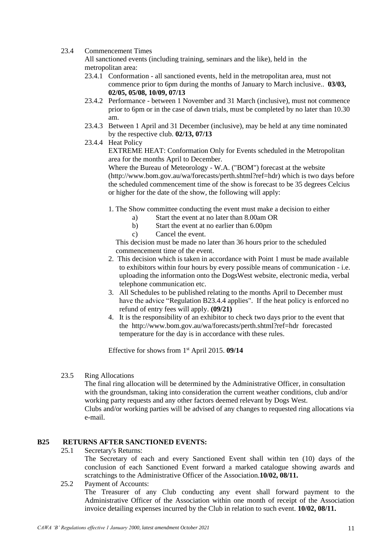## 23.4 Commencement Times

All sanctioned events (including training, seminars and the like), held in the metropolitan area:

- 23.4.1 Conformation all sanctioned events, held in the metropolitan area, must not commence prior to 6pm during the months of January to March inclusive.. **03/03, 02/05, 05/08, 10/09, 07/13**
- 23.4.2 Performance between 1 November and 31 March (inclusive), must not commence prior to 6pm or in the case of dawn trials, must be completed by no later than 10.30 am.
- 23.4.3 Between 1 April and 31 December (inclusive), may be held at any time nominated by the respective club. **02/13, 07/13**
- 23.4.4 Heat Policy

EXTREME HEAT: Conformation Only for Events scheduled in the Metropolitan area for the months April to December.

Where the Bureau of Meteorology - W.A. ("BOM") forecast at the website (http://www.bom.gov.au/wa/forecasts/perth.shtml?ref=hdr) which is two days before the scheduled commencement time of the show is forecast to be 35 degrees Celcius or higher for the date of the show, the following will apply:

- 1. The Show committee conducting the event must make a decision to either
	- a) Start the event at no later than 8.00am OR
	- b) Start the event at no earlier than 6.00pm<br>c) Cancel the event.
	- Cancel the event.

This decision must be made no later than 36 hours prior to the scheduled commencement time of the event.

- 2. This decision which is taken in accordance with Point 1 must be made available to exhibitors within four hours by every possible means of communication - i.e. uploading the information onto the DogsWest website, electronic media, verbal telephone communication etc.
- 3. All Schedules to be published relating to the months April to December must have the advice "Regulation B23.4.4 applies". If the heat policy is enforced no refund of entry fees will apply. **(09/21)**
- 4. It is the responsibility of an exhibitor to check two days prior to the event that the http://www.bom.gov.au/wa/forecasts/perth.shtml?ref=hdr forecasted temperature for the day is in accordance with these rules.

Effective for shows from 1st April 2015. **09/14**

## 23.5 Ring Allocations

The final ring allocation will be determined by the Administrative Officer, in consultation with the groundsman, taking into consideration the current weather conditions, club and/or working party requests and any other factors deemed relevant by Dogs West. Clubs and/or working parties will be advised of any changes to requested ring allocations via e-mail.

## **B25 RETURNS AFTER SANCTIONED EVENTS:**

25.1 Secretary's Returns:

The Secretary of each and every Sanctioned Event shall within ten (10) days of the conclusion of each Sanctioned Event forward a marked catalogue showing awards and scratchings to the Administrative Officer of the Association.**10/02, 08/11.**

25.2 Payment of Accounts: The Treasurer of any Club conducting any event shall forward payment to the Administrative Officer of the Association within one month of receipt of the Association invoice detailing expenses incurred by the Club in relation to such event. **10/02, 08/11.**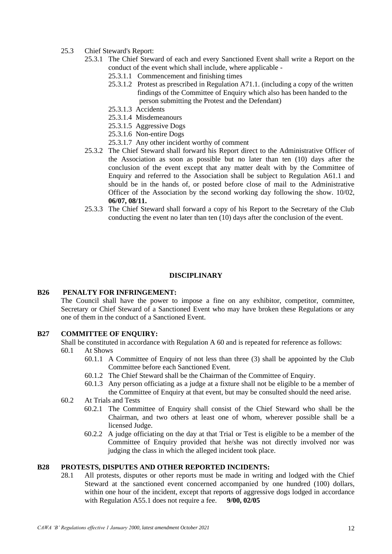- 25.3 Chief Steward's Report:
	- 25.3.1 The Chief Steward of each and every Sanctioned Event shall write a Report on the conduct of the event which shall include, where applicable -
		- 25.3.1.1 Commencement and finishing times
		- 25.3.1.2 Protest as prescribed in Regulation A71.1. (including a copy of the written findings of the Committee of Enquiry which also has been handed to the person submitting the Protest and the Defendant)
		- 25.3.1.3 Accidents
		- 25.3.1.4 Misdemeanours
		- 25.3.1.5 Aggressive Dogs
		- 25.3.1.6 Non-entire Dogs
		- 25.3.1.7 Any other incident worthy of comment
	- 25.3.2 The Chief Steward shall forward his Report direct to the Administrative Officer of the Association as soon as possible but no later than ten (10) days after the conclusion of the event except that any matter dealt with by the Committee of Enquiry and referred to the Association shall be subject to Regulation A61.1 and should be in the hands of, or posted before close of mail to the Administrative Officer of the Association by the second working day following the show. 10/02, **06/07, 08/11.**
	- 25.3.3 The Chief Steward shall forward a copy of his Report to the Secretary of the Club conducting the event no later than ten (10) days after the conclusion of the event.

#### **DISCIPLINARY**

#### **B26 PENALTY FOR INFRINGEMENT:**

The Council shall have the power to impose a fine on any exhibitor, competitor, committee, Secretary or Chief Steward of a Sanctioned Event who may have broken these Regulations or any one of them in the conduct of a Sanctioned Event.

## **B27 COMMITTEE OF ENQUIRY:**

Shall be constituted in accordance with Regulation A 60 and is repeated for reference as follows:

- 60.1 At Shows
	- 60.1.1 A Committee of Enquiry of not less than three (3) shall be appointed by the Club Committee before each Sanctioned Event.
	- 60.1.2 The Chief Steward shall be the Chairman of the Committee of Enquiry.
	- 60.1.3 Any person officiating as a judge at a fixture shall not be eligible to be a member of the Committee of Enquiry at that event, but may be consulted should the need arise.
- 60.2 At Trials and Tests
	- 60.2.1 The Committee of Enquiry shall consist of the Chief Steward who shall be the Chairman, and two others at least one of whom, wherever possible shall be a licensed Judge.
	- 60.2.2 A judge officiating on the day at that Trial or Test is eligible to be a member of the Committee of Enquiry provided that he/she was not directly involved nor was judging the class in which the alleged incident took place.

### **B28 PROTESTS, DISPUTES AND OTHER REPORTED INCIDENTS:**

28.1 All protests, disputes or other reports must be made in writing and lodged with the Chief Steward at the sanctioned event concerned accompanied by one hundred (100) dollars, within one hour of the incident, except that reports of aggressive dogs lodged in accordance with Regulation A55.1 does not require a fee. **9/00, 02/05**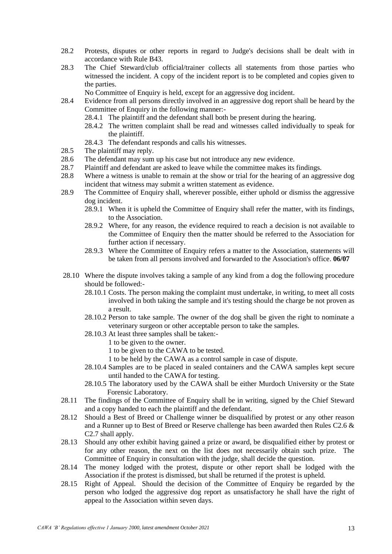- 28.2 Protests, disputes or other reports in regard to Judge's decisions shall be dealt with in accordance with Rule B43.
- 28.3 The Chief Steward/club official/trainer collects all statements from those parties who witnessed the incident. A copy of the incident report is to be completed and copies given to the parties.

No Committee of Enquiry is held, except for an aggressive dog incident.

- 28.4 Evidence from all persons directly involved in an aggressive dog report shall be heard by the Committee of Enquiry in the following manner:-
	- 28.4.1 The plaintiff and the defendant shall both be present during the hearing.
	- 28.4.2 The written complaint shall be read and witnesses called individually to speak for the plaintiff.
	- 28.4.3 The defendant responds and calls his witnesses.
- 28.5 The plaintiff may reply.
- 28.6 The defendant may sum up his case but not introduce any new evidence.
- 28.7 Plaintiff and defendant are asked to leave while the committee makes its findings.
- 28.8 Where a witness is unable to remain at the show or trial for the hearing of an aggressive dog incident that witness may submit a written statement as evidence.
- 28.9 The Committee of Enquiry shall, wherever possible, either uphold or dismiss the aggressive dog incident.
	- 28.9.1 When it is upheld the Committee of Enquiry shall refer the matter, with its findings, to the Association.
	- 28.9.2 Where, for any reason, the evidence required to reach a decision is not available to the Committee of Enquiry then the matter should be referred to the Association for further action if necessary.
	- 28.9.3 Where the Committee of Enquiry refers a matter to the Association, statements will be taken from all persons involved and forwarded to the Association's office. **06/07**
- 28.10 Where the dispute involves taking a sample of any kind from a dog the following procedure should be followed:-
	- 28.10.1 Costs. The person making the complaint must undertake, in writing, to meet all costs involved in both taking the sample and it's testing should the charge be not proven as a result.
	- 28.10.2 Person to take sample. The owner of the dog shall be given the right to nominate a veterinary surgeon or other acceptable person to take the samples.
	- 28.10.3 At least three samples shall be taken:-
		- 1 to be given to the owner.
		- 1 to be given to the CAWA to be tested.
		- 1 to be held by the CAWA as a control sample in case of dispute.
	- 28.10.4 Samples are to be placed in sealed containers and the CAWA samples kept secure until handed to the CAWA for testing.
	- 28.10.5 The laboratory used by the CAWA shall be either Murdoch University or the State Forensic Laboratory.
- 28.11 The findings of the Committee of Enquiry shall be in writing, signed by the Chief Steward and a copy handed to each the plaintiff and the defendant.
- 28.12 Should a Best of Breed or Challenge winner be disqualified by protest or any other reason and a Runner up to Best of Breed or Reserve challenge has been awarded then Rules C2.6 & C2.7 shall apply.
- 28.13 Should any other exhibit having gained a prize or award, be disqualified either by protest or for any other reason, the next on the list does not necessarily obtain such prize. The Committee of Enquiry in consultation with the judge, shall decide the question.
- 28.14 The money lodged with the protest, dispute or other report shall be lodged with the Association if the protest is dismissed, but shall be returned if the protest is upheld.
- 28.15 Right of Appeal. Should the decision of the Committee of Enquiry be regarded by the person who lodged the aggressive dog report as unsatisfactory he shall have the right of appeal to the Association within seven days.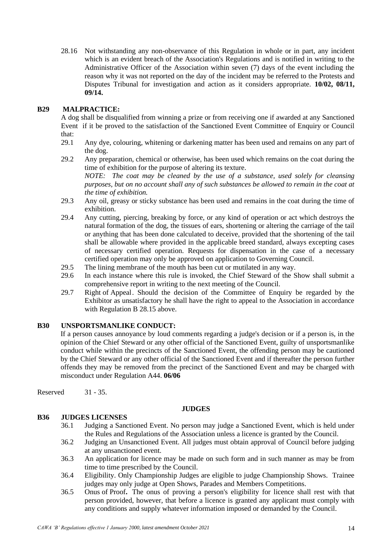28.16 Not withstanding any non-observance of this Regulation in whole or in part, any incident which is an evident breach of the Association's Regulations and is notified in writing to the Administrative Officer of the Association within seven (7) days of the event including the reason why it was not reported on the day of the incident may be referred to the Protests and Disputes Tribunal for investigation and action as it considers appropriate. **10/02, 08/11, 09/14.**

# **B29 MALPRACTICE:**

A dog shall be disqualified from winning a prize or from receiving one if awarded at any Sanctioned Event if it be proved to the satisfaction of the Sanctioned Event Committee of Enquiry or Council that:

- 29.1 Any dye, colouring, whitening or darkening matter has been used and remains on any part of the dog.
- 29.2 Any preparation, chemical or otherwise, has been used which remains on the coat during the time of exhibition for the purpose of altering its texture.

*NOTE: The coat may be cleaned by the use of a substance, used solely for cleansing purposes, but on no account shall any of such substances be allowed to remain in the coat at the time of exhibition.*

- 29.3 Any oil, greasy or sticky substance has been used and remains in the coat during the time of exhibition.
- 29.4 Any cutting, piercing, breaking by force, or any kind of operation or act which destroys the natural formation of the dog, the tissues of ears, shortening or altering the carriage of the tail or anything that has been done calculated to deceive, provided that the shortening of the tail shall be allowable where provided in the applicable breed standard, always excepting cases of necessary certified operation. Requests for dispensation in the case of a necessary certified operation may only be approved on application to Governing Council.
- 29.5 The lining membrane of the mouth has been cut or mutilated in any way.
- 29.6 In each instance where this rule is invoked, the Chief Steward of the Show shall submit a comprehensive report in writing to the next meeting of the Council.
- 29.7 Right of Appeal. Should the decision of the Committee of Enquiry be regarded by the Exhibitor as unsatisfactory he shall have the right to appeal to the Association in accordance with Regulation B 28.15 above.

# **B30 UNSPORTSMANLIKE CONDUCT:**

If a person causes annoyance by loud comments regarding a judge's decision or if a person is, in the opinion of the Chief Steward or any other official of the Sanctioned Event, guilty of unsportsmanlike conduct while within the precincts of the Sanctioned Event, the offending person may be cautioned by the Chief Steward or any other official of the Sanctioned Event and if thereafter the person further offends they may be removed from the precinct of the Sanctioned Event and may be charged with misconduct under Regulation A44. **06/06**

Reserved 31 - 35.

## **JUDGES**

## **B36 JUDGES LICENSES**

- 36.1 Judging a Sanctioned Event. No person may judge a Sanctioned Event, which is held under the Rules and Regulations of the Association unless a licence is granted by the Council.
- 36.2 Judging an Unsanctioned Event. All judges must obtain approval of Council before judging at any unsanctioned event.
- 36.3 An application for licence may be made on such form and in such manner as may be from time to time prescribed by the Council.
- 36.4 Eligibility. Only Championship Judges are eligible to judge Championship Shows. Trainee judges may only judge at Open Shows, Parades and Members Competitions.
- 36.5 Onus of Proof**.** The onus of proving a person's eligibility for licence shall rest with that person provided, however, that before a licence is granted any applicant must comply with any conditions and supply whatever information imposed or demanded by the Council.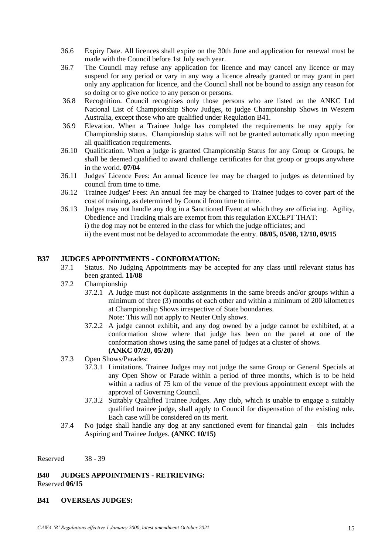- 36.6 Expiry Date. All licences shall expire on the 30th June and application for renewal must be made with the Council before 1st July each year.
- 36.7 The Council may refuse any application for licence and may cancel any licence or may suspend for any period or vary in any way a licence already granted or may grant in part only any application for licence, and the Council shall not be bound to assign any reason for so doing or to give notice to any person or persons.
- 36.8 Recognition. Council recognises only those persons who are listed on the ANKC Ltd National List of Championship Show Judges, to judge Championship Shows in Western Australia, except those who are qualified under Regulation B41.
- 36.9 Elevation. When a Trainee Judge has completed the requirements he may apply for Championship status. Championship status will not be granted automatically upon meeting all qualification requirements.
- 36.10 Qualification. When a judge is granted Championship Status for any Group or Groups, he shall be deemed qualified to award challenge certificates for that group or groups anywhere in the world. **07/04**
- 36.11 Judges' Licence Fees: An annual licence fee may be charged to judges as determined by council from time to time.
- 36.12 Trainee Judges' Fees: An annual fee may be charged to Trainee judges to cover part of the cost of training, as determined by Council from time to time.
- 36.13 Judges may not handle any dog in a Sanctioned Event at which they are officiating. Agility, Obedience and Tracking trials are exempt from this regulation EXCEPT THAT: i) the dog may not be entered in the class for which the judge officiates; and ii) the event must not be delayed to accommodate the entry. **08/05, 05/08, 12/10, 09/15**

# **B37 JUDGES APPOINTMENTS - CONFORMATION:**

- 37.1 Status. No Judging Appointments may be accepted for any class until relevant status has been granted. **11/08**
- 37.2 Championship
	- 37.2.1 A Judge must not duplicate assignments in the same breeds and/or groups within a minimum of three (3) months of each other and within a minimum of 200 kilometres at Championship Shows irrespective of State boundaries. Note: This will not apply to Neuter Only shows.
	- 37.2.2 A judge cannot exhibit, and any dog owned by a judge cannot be exhibited, at a conformation show where that judge has been on the panel at one of the conformation shows using the same panel of judges at a cluster of shows. **(ANKC 07/20, 05/20)**
- 37.3 Open Shows/Parades:
	- 37.3.1 Limitations. Trainee Judges may not judge the same Group or General Specials at any Open Show or Parade within a period of three months, which is to be held within a radius of 75 km of the venue of the previous appointment except with the approval of Governing Council.
	- 37.3.2 Suitably Qualified Trainee Judges. Any club, which is unable to engage a suitably qualified trainee judge, shall apply to Council for dispensation of the existing rule. Each case will be considered on its merit.
- 37.4 No judge shall handle any dog at any sanctioned event for financial gain this includes Aspiring and Trainee Judges. **(ANKC 10/15)**

Reserved 38 - 39

**B40 JUDGES APPOINTMENTS - RETRIEVING:** Reserved **06/15**

## **B41 OVERSEAS JUDGES:**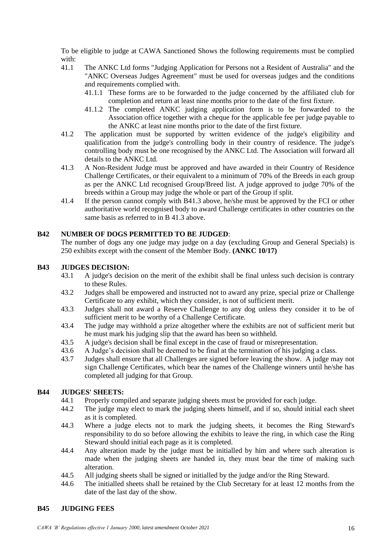To be eligible to judge at CAWA Sanctioned Shows the following requirements must be complied with:<br> $41.1$ 

- The ANKC Ltd forms "Judging Application for Persons not a Resident of Australia" and the "ANKC Overseas Judges Agreement" must be used for overseas judges and the conditions and requirements complied with.
	- 41.1.1 These forms are to be forwarded to the judge concerned by the affiliated club for completion and return at least nine months prior to the date of the first fixture.
	- 41.1.2 The completed ANKC judging application form is to be forwarded to the Association office together with a cheque for the applicable fee per judge payable to the ANKC at least nine months prior to the date of the first fixture.
- 41.2 The application must be supported by written evidence of the judge's eligibility and qualification from the judge's controlling body in their country of residence. The judge's controlling body must be one recognised by the ANKC Ltd. The Association will forward all details to the ANKC Ltd.
- 41.3 A Non-Resident Judge must be approved and have awarded in their Country of Residence Challenge Certificates, or their equivalent to a minimum of 70% of the Breeds in each group as per the ANKC Ltd recognised Group/Breed list. A judge approved to judge 70% of the breeds within a Group may judge the whole or part of the Group if split.
- 41.4 If the person cannot comply with B41.3 above, he/she must be approved by the FCI or other authoritative world recognised body to award Challenge certificates in other countries on the same basis as referred to in B 41.3 above.

# **B42 NUMBER OF DOGS PERMITTED TO BE JUDGED**:

The number of dogs any one judge may judge on a day (excluding Group and General Specials) is 250 exhibits except with the consent of the Member Body. **(ANKC 10/17)**

# **B43 JUDGES DECISION:**

- 43.1 A judge's decision on the merit of the exhibit shall be final unless such decision is contrary to these Rules.
- 43.2 Judges shall be empowered and instructed not to award any prize, special prize or Challenge Certificate to any exhibit, which they consider, is not of sufficient merit.
- 43.3 Judges shall not award a Reserve Challenge to any dog unless they consider it to be of sufficient merit to be worthy of a Challenge Certificate.
- 43.4 The judge may withhold a prize altogether where the exhibits are not of sufficient merit but he must mark his judging slip that the award has been so withheld.
- 43.5 A judge's decision shall be final except in the case of fraud or misrepresentation.
- 43.6 A Judge's decision shall be deemed to be final at the termination of his judging a class.
- 43.7 Judges shall ensure that all Challenges are signed before leaving the show. A judge may not sign Challenge Certificates, which bear the names of the Challenge winners until he/she has completed all judging for that Group.

# **B44 JUDGES' SHEETS:**

- 44.1 Properly compiled and separate judging sheets must be provided for each judge.
- 44.2 The judge may elect to mark the judging sheets himself, and if so, should initial each sheet as it is completed.
- 44.3 Where a judge elects not to mark the judging sheets, it becomes the Ring Steward's responsibility to do so before allowing the exhibits to leave the ring, in which case the Ring Steward should initial each page as it is completed.
- 44.4 Any alteration made by the judge must be initialled by him and where such alteration is made when the judging sheets are handed in, they must bear the time of making such alteration.
- 44.5 All judging sheets shall be signed or initialled by the judge and/or the Ring Steward.
- 44.6 The initialled sheets shall be retained by the Club Secretary for at least 12 months from the date of the last day of the show.

# **B45 JUDGING FEES**